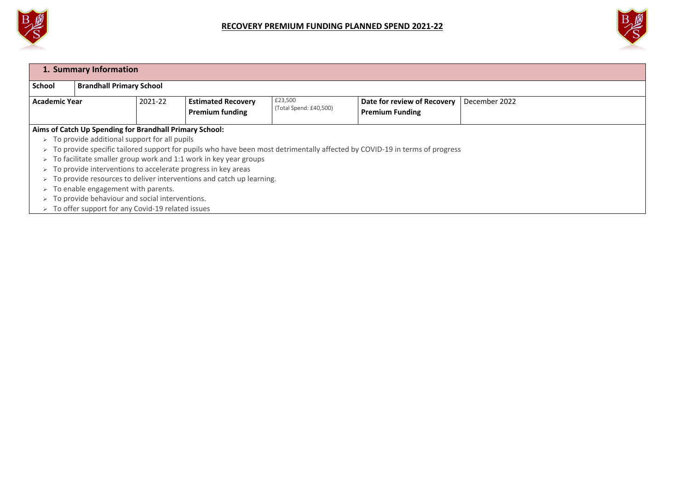

| 1. Summary Information                                                                                                                              |                                 |  |                           |                                   |                             |               |  |
|-----------------------------------------------------------------------------------------------------------------------------------------------------|---------------------------------|--|---------------------------|-----------------------------------|-----------------------------|---------------|--|
| <b>School</b>                                                                                                                                       | <b>Brandhall Primary School</b> |  |                           |                                   |                             |               |  |
| <b>Academic Year</b>                                                                                                                                | 2021-22                         |  | <b>Estimated Recovery</b> | £23,500<br>(Total Spend: £40,500) | Date for review of Recovery | December 2022 |  |
|                                                                                                                                                     |                                 |  | <b>Premium funding</b>    |                                   | <b>Premium Funding</b>      |               |  |
| Aims of Catch Up Spending for Brandhall Primary School:                                                                                             |                                 |  |                           |                                   |                             |               |  |
| To provide additional support for all pupils<br>$\blacktriangleright$                                                                               |                                 |  |                           |                                   |                             |               |  |
| To provide specific tailored support for pupils who have been most detrimentally affected by COVID-19 in terms of progress<br>$\blacktriangleright$ |                                 |  |                           |                                   |                             |               |  |
| To facilitate smaller group work and 1:1 work in key year groups<br>$\blacktriangleright$                                                           |                                 |  |                           |                                   |                             |               |  |
| To provide interventions to accelerate progress in key areas<br>$\blacktriangleright$                                                               |                                 |  |                           |                                   |                             |               |  |
| To provide resources to deliver interventions and catch up learning.<br>$\blacktriangleright$                                                       |                                 |  |                           |                                   |                             |               |  |
|                                                                                                                                                     |                                 |  |                           |                                   |                             |               |  |

- $\triangleright$  To enable engagement with parents.
- $\triangleright$  To provide behaviour and social interventions.
- $\triangleright$  To offer support for any Covid-19 related issues



| the control of the control of the control of the control of |  |  |
|-------------------------------------------------------------|--|--|
|                                                             |  |  |
|                                                             |  |  |
|                                                             |  |  |
|                                                             |  |  |
|                                                             |  |  |
|                                                             |  |  |
|                                                             |  |  |
|                                                             |  |  |
|                                                             |  |  |
|                                                             |  |  |
|                                                             |  |  |
|                                                             |  |  |
|                                                             |  |  |
|                                                             |  |  |
|                                                             |  |  |
|                                                             |  |  |
|                                                             |  |  |
|                                                             |  |  |
|                                                             |  |  |
|                                                             |  |  |
|                                                             |  |  |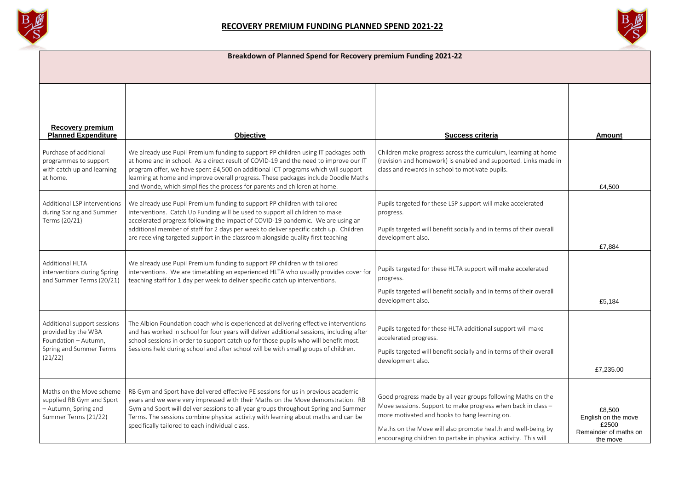

## **Breakdown of Planned Spend for Recovery premium Funding 2021-22**

| <b>Recovery premium</b><br><b>Planned Expenditure</b>                                                            | <b>Objective</b>                                                                                                                                                                                                                                                                                                                                                                                                                   | <b>Success criteria</b>                                                                                                                                                                                                                                                                                          | <b>Amount</b>                                                               |
|------------------------------------------------------------------------------------------------------------------|------------------------------------------------------------------------------------------------------------------------------------------------------------------------------------------------------------------------------------------------------------------------------------------------------------------------------------------------------------------------------------------------------------------------------------|------------------------------------------------------------------------------------------------------------------------------------------------------------------------------------------------------------------------------------------------------------------------------------------------------------------|-----------------------------------------------------------------------------|
| Purchase of additional<br>programmes to support<br>with catch up and learning<br>at home.                        | We already use Pupil Premium funding to support PP children using IT packages both<br>at home and in school. As a direct result of COVID-19 and the need to improve our IT<br>program offer, we have spent £4,500 on additional ICT programs which will support<br>learning at home and improve overall progress. These packages include Doodle Maths<br>and Wonde, which simplifies the process for parents and children at home. | Children make progress across the curriculum, learning at home<br>(revision and homework) is enabled and supported. Links made in<br>class and rewards in school to motivate pupils.                                                                                                                             | £4,500                                                                      |
| Additional LSP interventions<br>during Spring and Summer<br>Terms (20/21)                                        | We already use Pupil Premium funding to support PP children with tailored<br>interventions. Catch Up Funding will be used to support all children to make<br>accelerated progress following the impact of COVID-19 pandemic. We are using an<br>additional member of staff for 2 days per week to deliver specific catch up. Children<br>are receiving targeted support in the classroom alongside quality first teaching          | Pupils targeted for these LSP support will make accelerated<br>progress.<br>Pupils targeted will benefit socially and in terms of their overall<br>development also.                                                                                                                                             | £7,884                                                                      |
| <b>Additional HLTA</b><br>interventions during Spring<br>and Summer Terms (20/21)                                | We already use Pupil Premium funding to support PP children with tailored<br>interventions. We are timetabling an experienced HLTA who usually provides cover for<br>teaching staff for 1 day per week to deliver specific catch up interventions.                                                                                                                                                                                 | Pupils targeted for these HLTA support will make accelerated<br>progress.<br>Pupils targeted will benefit socially and in terms of their overall<br>development also.                                                                                                                                            | £5,184                                                                      |
| Additional support sessions<br>provided by the WBA<br>Foundation - Autumn,<br>Spring and Summer Terms<br>(21/22) | The Albion Foundation coach who is experienced at delivering effective interventions<br>and has worked in school for four years will deliver additional sessions, including after<br>school sessions in order to support catch up for those pupils who will benefit most.<br>Sessions held during school and after school will be with small groups of children.                                                                   | Pupils targeted for these HLTA additional support will make<br>accelerated progress.<br>Pupils targeted will benefit socially and in terms of their overall<br>development also.                                                                                                                                 | £7,235.00                                                                   |
| Maths on the Move scheme<br>supplied RB Gym and Sport<br>- Autumn, Spring and<br>Summer Terms (21/22)            | RB Gym and Sport have delivered effective PE sessions for us in previous academic<br>years and we were very impressed with their Maths on the Move demonstration. RB<br>Gym and Sport will deliver sessions to all year groups throughout Spring and Summer<br>Terms. The sessions combine physical activity with learning about maths and can be<br>specifically tailored to each individual class.                               | Good progress made by all year groups following Maths on the<br>Move sessions. Support to make progress when back in class -<br>more motivated and hooks to hang learning on.<br>Maths on the Move will also promote health and well-being by<br>encouraging children to partake in physical activity. This will | £8,500<br>English on the move<br>£2500<br>Remainder of maths on<br>the move |